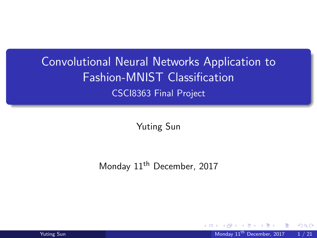# <span id="page-0-0"></span>Convolutional Neural Networks Application to Fashion-MNIST Classification CSCI8363 Final Project

Yuting Sun

Monday 11<sup>th</sup> December, 2017

Yuting Sun Monday 11<sup>th</sup> December, 2017 1 / 21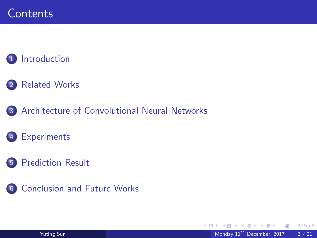### **[Introduction](#page-2-0)**

- 2 [Related Works](#page-5-0)
- 3 [Architecture of Convolutional Neural Networks](#page-6-0)
	- **[Experiments](#page-9-0)**
- 5 [Prediction Result](#page-18-0)
- 6 [Conclusion and Future Works](#page-19-0)

 $\leftarrow$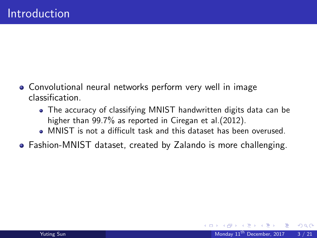- <span id="page-2-0"></span>Convolutional neural networks perform very well in image classification.
	- The accuracy of classifying MNIST handwritten digits data can be higher than 99.7% as reported in Ciregan et al. (2012).
	- MNIST is not a difficult task and this dataset has been overused.
- Fashion-MNIST dataset, created by Zalando is more challenging.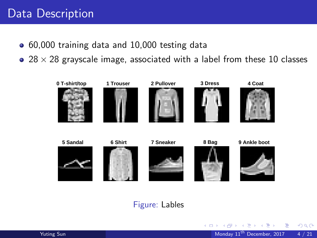### Data Description

- 60,000 training data and 10,000 testing data
- $\bullet$  28  $\times$  28 grayscale image, associated with a label from these 10 classes



#### Figure: Lables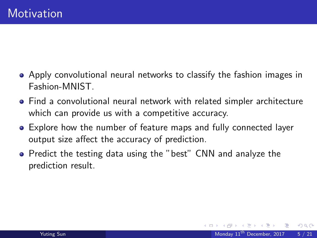- Apply convolutional neural networks to classify the fashion images in Fashion-MNIST.
- Find a convolutional neural network with related simpler architecture which can provide us with a competitive accuracy.
- Explore how the number of feature maps and fully connected layer output size affect the accuracy of prediction.
- **•** Predict the testing data using the "best" CNN and analyze the prediction result.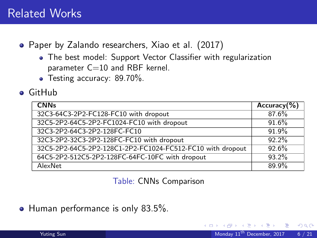### <span id="page-5-0"></span>Related Works

- Paper by Zalando researchers, Xiao et al. (2017)
	- The best model: Support Vector Classifier with regularization parameter  $C=10$  and RBF kernel.
	- Testing accuracy: 89.70%.
- GitHub

| <b>CNNs</b>                                                | $Accuracy$ (%) |
|------------------------------------------------------------|----------------|
| 32C3-64C3-2P2-FC128-FC10 with dropout                      | 87.6%          |
| 32C5-2P2-64C5-2P2-FC1024-FC10 with dropout                 | 91.6%          |
| 32C3-2P2-64C3-2P2-128FC-FC10                               | 91.9%          |
| 32C3-2P2-32C3-2P2-128FC-FC10 with dropout                  | 92.2%          |
| 32C5-2P2-64C5-2P2-128C1-2P2-FC1024-FC512-FC10 with dropout | 92.6%          |
| 64C5-2P2-512C5-2P2-128FC-64FC-10FC with dropout            | 93.2%          |
| AlexNet                                                    | 89.9%          |

Table: CNNs Comparison

 $\bullet$  Human performance is only 83.5%.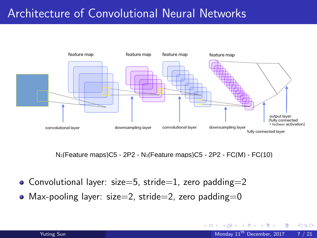# <span id="page-6-0"></span>Architecture of Convolutional Neural Networks



 $N_1$ (Feature maps)C5 - 2P2 - N<sub>2</sub>(Feature maps)C5 - 2P2 - FC(M) - FC(10)

- Convolutional layer: size=5, stride=1, zero padding=2
- Max-pooling layer: size=2, stride=2, zero padding=0

4 D F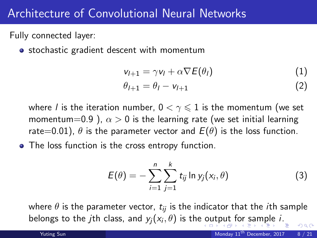### <span id="page-7-0"></span>Architecture of Convolutional Neural Networks

Fully connected layer:

• stochastic gradient descent with momentum

$$
v_{l+1} = \gamma v_l + \alpha \nabla E(\theta_l)
$$
  
\n
$$
\theta_{l+1} = \theta_l - v_{l+1}
$$
\n(1)

where l is the iteration number,  $0 < \gamma \leqslant 1$  is the momentum (we set momentum=0.9 ),  $\alpha > 0$  is the learning rate (we set initial learning rate=0.01),  $\theta$  is the parameter vector and  $E(\theta)$  is the loss function.

• The loss function is the cross entropy function.

$$
E(\theta) = -\sum_{i=1}^{n} \sum_{j=1}^{k} t_{ij} \ln y_j(x_i, \theta)
$$
 (3)

where  $\theta$  is the parameter vector,  $t_{ii}$  is the indicator that the *i*th sample belongs [t](#page-7-0)othe jth cla[s](#page-8-0)s, [a](#page-9-0)nd  $y_j(x_i, \theta)$  $y_j(x_i, \theta)$  $y_j(x_i, \theta)$  is the [o](#page-6-0)[utp](#page-8-0)[u](#page-6-0)t [f](#page-8-0)[or](#page-5-0) sa[m](#page-5-0)[p](#page-6-0)[l](#page-8-0)e i[.](#page-0-0)  $QQ$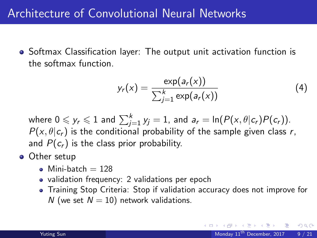## <span id="page-8-0"></span>Architecture of Convolutional Neural Networks

• Softmax Classification layer: The output unit activation function is the softmax function.

$$
y_r(x) = \frac{\exp(a_r(x))}{\sum_{j=1}^k \exp(a_r(x))}
$$
(4)

where  $0\leqslant \mathsf y_r\leqslant 1$  and  $\sum_{j=1}^k\mathsf y_j=1$ , and  $\mathsf a_r=\ln(\mathsf P(\mathsf x,\theta|\mathsf c_r)\mathsf P(\mathsf c_r)).$  $P(x, \theta | c_r)$  is the conditional probability of the sample given class r, and  $P(c_r)$  is the class prior probability.

- Other setup
	- $\bullet$  Mini-batch = 128
	- validation frequency: 2 validations per epoch
	- Training Stop Criteria: Stop if validation accuracy does not improve for N (we set  $N = 10$ ) network validations.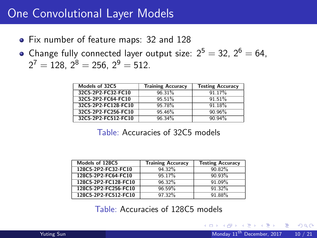### <span id="page-9-0"></span>One Convolutional Layer Models

- Fix number of feature maps: 32 and 128
- Change fully connected layer output size:  $2^5 = 32$ ,  $2^6 = 64$ ,  $2^7 = 128$ ,  $2^8 = 256$ ,  $2^9 = 512$ .

| Models of 32C5      | <b>Training Accuracy</b> | <b>Testing Accuracy</b> |
|---------------------|--------------------------|-------------------------|
| 32C5-2P2-FC32-FC10  | 96.31%                   | 91.17%                  |
| 32C5-2P2-FC64-FC10  | 95.51%                   | 91.51%                  |
| 32C5-2P2-FC128-FC10 | 95.78%                   | 91.18%                  |
| 32C5-2P2-FC256-FC10 | 95.46%                   | 90.96%                  |
| 32C5-2P2-FC512-FC10 | 96.34%                   | 90.94%                  |

#### Table: Accuracies of 32C5 models

| Models of 128C5      | <b>Training Accuracy</b> | <b>Testing Accuracy</b> |
|----------------------|--------------------------|-------------------------|
| 128C5-2P2-FC32-FC10  | 94.32%                   | 90.82%                  |
| 128C5-2P2-FC64-FC10  | 95.17%                   | 90.93%                  |
| 128C5-2P2-FC128-FC10 | 96.32%                   | 91.09%                  |
| 128C5-2P2-FC256-FC10 | 96.59%                   | 91.32%                  |
| 128C5-2P2-FC512-FC10 | 97.32%                   | 91 88%                  |

Table: Accuracies of 128C5 models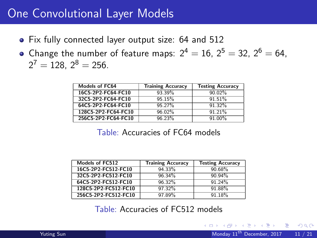### One Convolutional Layer Models

- Fix fully connected layer output size: 64 and 512
- Change the number of feature maps:  $2^4 = 16$ ,  $2^5 = 32$ ,  $2^6 = 64$ ,  $2^7 = 128$ ,  $2^8 = 256$ .

| <b>Models of FC64</b> | <b>Training Accuracy</b> | <b>Testing Accuracy</b> |
|-----------------------|--------------------------|-------------------------|
| 16C5-2P2-FC64-FC10    | 93.39%                   | 90.02%                  |
| 32C5-2P2-FC64-FC10    | 95.15%                   | 91.51%                  |
| 64C5-2P2-FC64-FC10    | 95.27%                   | 91.32%                  |
| 128C5-2P2-FC64-FC10   | 96.02%                   | 91.21%                  |
| 256C5-2P2-FC64-FC10   | 96.23%                   | 91.00%                  |

#### Table: Accuracies of FC64 models

| Models of FC512      | <b>Training Accuracy</b> | <b>Testing Accuracy</b> |
|----------------------|--------------------------|-------------------------|
| 16C5-2P2-FC512-FC10  | 94.33%                   | 90.68%                  |
| 32C5-2P2-FC512-FC10  | 96.34%                   | 90.94%                  |
| 64C5-2P2-FC512-FC10  | 96.32%                   | 91.24%                  |
| 128C5-2P2-FC512-FC10 | 97.32%                   | 91.88%                  |
| 256C5-2P2-FC512-FC10 | 97.89%                   | 91.18%                  |

#### Table: Accuracies of FC512 models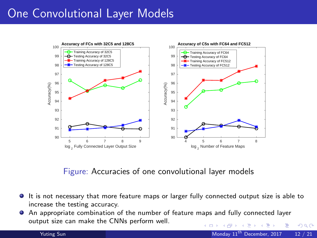# One Convolutional Layer Models



Figure: Accuracies of one convolutional layer models

- $\bullet$  It is not necessary that more feature maps or larger fully connected output size is able to increase the testing accuracy.
- An appropriate combination of the number of feature maps and fully connected layer output size can make the CNNs perform well. **← ロ ▶ → イ 同** - 41 - 11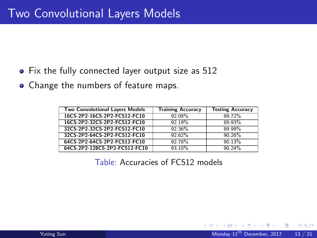- Fix the fully connected layer output size as 512
- Change the numbers of feature maps.

| <b>Two Convolutional Layers Models</b> | <b>Training Accuracy</b> | <b>Testing Accuracy</b> |
|----------------------------------------|--------------------------|-------------------------|
| 16C5-2P2-16C5-2P2-FC512-FC10           | 92.08%                   | 89.72%                  |
| 16C5-2P2-32C5-2P2-FC512-FC10           | 92.19%                   | 89.93%                  |
| 32C5-2P2-32C5-2P2-FC512-FC10           | $92.36\%$                | 89.99%                  |
| 32C5-2P2-64C5-2P2-FC512-FC10           | 92.62%                   | 90.26%                  |
| 64C5-2P2-64C5-2P2-FC512-FC10           | 92.78%                   | 90.13%                  |
| 64C5-2P2-128C5-2P2-FC512-FC10          | 93.10%                   | 90.24%                  |

Table: Accuracies of FC512 models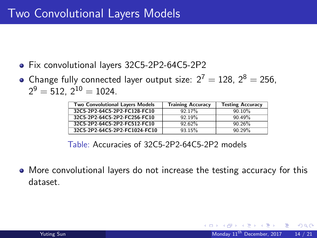- Fix convolutional layers 32C5-2P2-64C5-2P2
- Change fully connected layer output size:  $2^7 = 128$ ,  $2^8 = 256$ .  $2^9 = 512$ ,  $2^{10} = 1024$ .

| <b>Two Convolutional Layers Models</b> | <b>Training Accuracy</b> | <b>Testing Accuracy</b> |
|----------------------------------------|--------------------------|-------------------------|
| 32C5-2P2-64C5-2P2-FC128-FC10           | 92.17%                   | 90.10%                  |
| 32C5-2P2-64C5-2P2-FC256-FC10           | 92.19%                   | 90.49%                  |
| 32C5-2P2-64C5-2P2-FC512-FC10           | 92.62%                   | 90.26%                  |
| 32C5-2P2-64C5-2P2-FC1024-FC10          | 93.15%                   | 90.29%                  |

Table: Accuracies of 32C5-2P2-64C5-2P2 models

More convolutional layers do not increase the testing accuracy for this dataset.

 $200$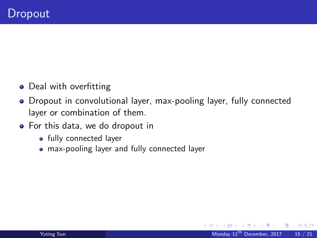- Deal with overfitting
- Dropout in convolutional layer, max-pooling layer, fully connected layer or combination of them.
- For this data, we do dropout in
	- fully connected layer
	- max-pooling layer and fully connected layer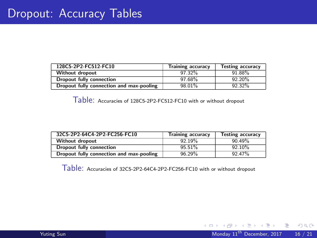| 128C5-2P2-FC512-FC10                     | <b>Training accuracy</b> | <b>Testing accuracy</b> |
|------------------------------------------|--------------------------|-------------------------|
| <b>Without dropout</b>                   | 97.32%                   | 91.88%                  |
| Dropout fully connection                 | 97.68%                   | 92.20%                  |
| Dropout fully connection and max-pooling | 98.01%                   | 92.32%                  |

Table: Accuracies of 128C5-2P2-FC512-FC10 with or without dropout

| 32C5-2P2-64C4-2P2-FC256-FC10             | <b>Training accuracy</b> | <b>Testing accuracy</b> |
|------------------------------------------|--------------------------|-------------------------|
| <b>Without dropout</b>                   | 92.19%                   | 90.49%                  |
| Dropout fully connection                 | 95.51%                   | 92.10%                  |
| Dropout fully connection and max-pooling | 96.29%                   | 92.47%                  |

Table: Accuracies of 32C5-2P2-64C4-2P2-FC256-FC10 with or without dropout

 $OQ$ 

造

**K ロ ⊁ K 伊 ⊁ K 君 ⊁ K 君 ⊁**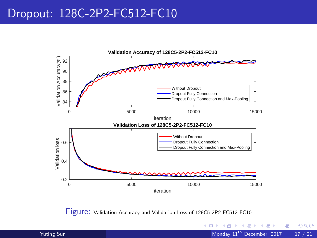### Dropout: 128C-2P2-FC512-FC10



Figure: Validation Accuracy and Validation Loss of 128C5-2P2-FC512-FC10

÷.

4 日下

与

×.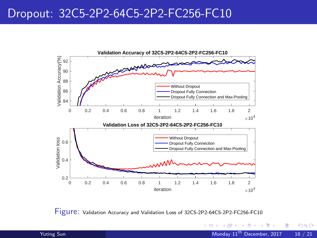### Dropout: 32C5-2P2-64C5-2P2-FC256-FC10



Figure: Validation Accuracy and Validation Loss of 32C5-2P2-64C5-2P2-FC256-FC10

4.0.3

与

×.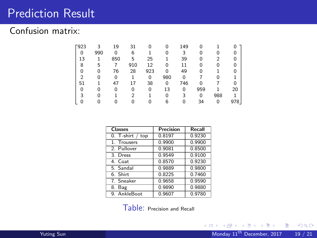### <span id="page-18-0"></span>Prediction Result

### Confusion matrix:

| F923 | 3   | 19  | 31             |          | 0   | 149 | 0   |     |     |
|------|-----|-----|----------------|----------|-----|-----|-----|-----|-----|
| 0    | 990 | 0   | 6              |          |     | 3   | 0   |     |     |
| 13   |     | 850 | 5              | 25       |     | 39  | 0   |     |     |
| 8    | 5   |     | 910            | 12       | 0   | 11  | 0   |     |     |
| U    | 0   | 76  | 28             | 923      | 0   | 49  | 0   |     |     |
| ◠    |     | 0   |                | $\Omega$ | 980 | 0   |     |     |     |
| 51   |     | 47  |                | 38       | 0   | 746 | n   |     |     |
|      | 0   | 0   | 0              | 0        | 13  | 0   | 959 |     | 20  |
|      |     |     | $\mathfrak{p}$ |          |     | 3   | 0   | 988 |     |
|      |     |     |                |          |     | n   | 34  | 0   | 978 |

| <b>Classes</b>     | Precision | Recall |
|--------------------|-----------|--------|
| $0.$ T-shirt / top | 0.8197    | 0.9230 |
| 1. Trousers        | 0.9900    | 0.9900 |
| 2. Pullover        | 0.9081    | 0.8500 |
| 3. Dress           | 0.9549    | 0.9100 |
| 4. Coat            | 0.8570    | 0.9230 |
| 5. Sandal          | 0.9889    | 0.9800 |
| 6. Shirt           | 0.8225    | 0.7460 |
| 7. Sneaker         | 0.9658    | 0.9590 |
| 8. Bag             | 0.9890    | 0.9880 |
| 9. AnkleBoot       | 0.9607    | 0.9780 |

Table: Precision and Recall

重

 $2990$ 

イロト イ部 トイヨ トイヨト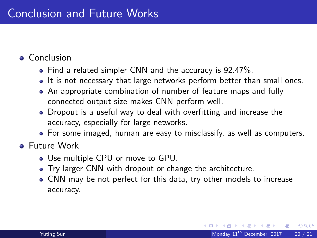### <span id="page-19-0"></span>• Conclusion

- Find a related simpler CNN and the accuracy is 92.47%.
- It is not necessary that large networks perform better than small ones.
- An appropriate combination of number of feature maps and fully connected output size makes CNN perform well.
- Dropout is a useful way to deal with overfitting and increase the accuracy, especially for large networks.
- For some imaged, human are easy to misclassify, as well as computers.

### Future Work

- Use multiple CPU or move to GPU.
- Try larger CNN with dropout or change the architecture.
- CNN may be not perfect for this data, try other models to increase accuracy.